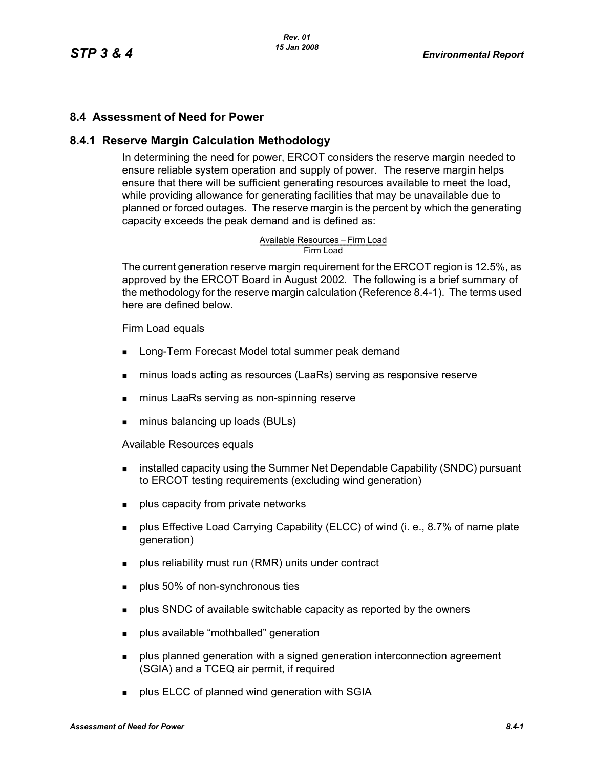## **8.4 Assessment of Need for Power**

## **8.4.1 Reserve Margin Calculation Methodology**

In determining the need for power, ERCOT considers the reserve margin needed to ensure reliable system operation and supply of power. The reserve margin helps ensure that there will be sufficient generating resources available to meet the load, while providing allowance for generating facilities that may be unavailable due to planned or forced outages. The reserve margin is the percent by which the generating capacity exceeds the peak demand and is defined as:

# Available Resources – Firm Load<br>Firm Load

The current generation reserve margin requirement for the ERCOT region is 12.5%, as approved by the ERCOT Board in August 2002. The following is a brief summary of the methodology for the reserve margin calculation (Reference 8.4-1). The terms used here are defined below.

#### Firm Load equals

- **Long-Term Forecast Model total summer peak demand**
- minus loads acting as resources (LaaRs) serving as responsive reserve
- minus LaaRs serving as non-spinning reserve
- minus balancing up loads (BULs)

Available Resources equals

- **EXECT** installed capacity using the Summer Net Dependable Capability (SNDC) pursuant to ERCOT testing requirements (excluding wind generation)
- **plus capacity from private networks**
- **Propellish** plus Effective Load Carrying Capability (ELCC) of wind (i. e., 8.7% of name plate generation)
- plus reliability must run (RMR) units under contract
- plus 50% of non-synchronous ties
- **Propellis SNDC** of available switchable capacity as reported by the owners
- **plus available "mothballed" generation**
- **Paramed generation with a signed generation interconnection agreement** (SGIA) and a TCEQ air permit, if required
- **plus ELCC of planned wind generation with SGIA**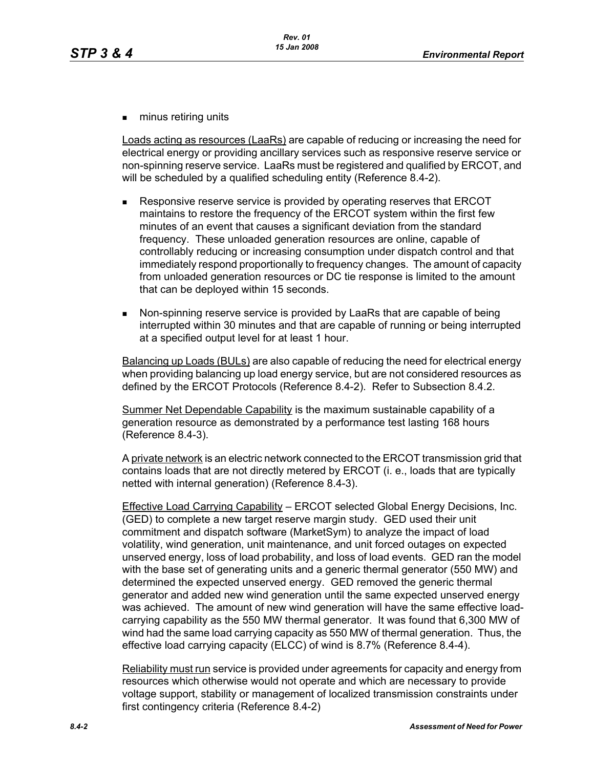**numinus retiring units** 

Loads acting as resources (LaaRs) are capable of reducing or increasing the need for electrical energy or providing ancillary services such as responsive reserve service or non-spinning reserve service. LaaRs must be registered and qualified by ERCOT, and will be scheduled by a qualified scheduling entity (Reference 8.4-2).

- Responsive reserve service is provided by operating reserves that ERCOT maintains to restore the frequency of the ERCOT system within the first few minutes of an event that causes a significant deviation from the standard frequency. These unloaded generation resources are online, capable of controllably reducing or increasing consumption under dispatch control and that immediately respond proportionally to frequency changes. The amount of capacity from unloaded generation resources or DC tie response is limited to the amount that can be deployed within 15 seconds.
- Non-spinning reserve service is provided by LaaRs that are capable of being interrupted within 30 minutes and that are capable of running or being interrupted at a specified output level for at least 1 hour.

Balancing up Loads (BULs) are also capable of reducing the need for electrical energy when providing balancing up load energy service, but are not considered resources as defined by the ERCOT Protocols (Reference 8.4-2). Refer to Subsection 8.4.2.

Summer Net Dependable Capability is the maximum sustainable capability of a generation resource as demonstrated by a performance test lasting 168 hours (Reference 8.4-3).

A private network is an electric network connected to the ERCOT transmission grid that contains loads that are not directly metered by ERCOT (i. e., loads that are typically netted with internal generation) (Reference 8.4-3).

Effective Load Carrying Capability – ERCOT selected Global Energy Decisions, Inc. (GED) to complete a new target reserve margin study. GED used their unit commitment and dispatch software (MarketSym) to analyze the impact of load volatility, wind generation, unit maintenance, and unit forced outages on expected unserved energy, loss of load probability, and loss of load events. GED ran the model with the base set of generating units and a generic thermal generator (550 MW) and determined the expected unserved energy. GED removed the generic thermal generator and added new wind generation until the same expected unserved energy was achieved. The amount of new wind generation will have the same effective loadcarrying capability as the 550 MW thermal generator. It was found that 6,300 MW of wind had the same load carrying capacity as 550 MW of thermal generation. Thus, the effective load carrying capacity (ELCC) of wind is 8.7% (Reference 8.4-4).

Reliability must run service is provided under agreements for capacity and energy from resources which otherwise would not operate and which are necessary to provide voltage support, stability or management of localized transmission constraints under first contingency criteria (Reference 8.4-2)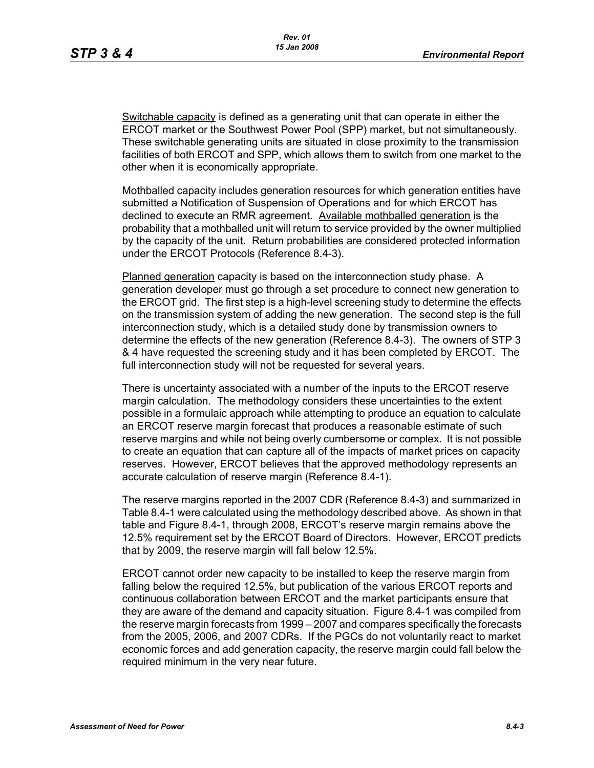Switchable capacity is defined as a generating unit that can operate in either the ERCOT market or the Southwest Power Pool (SPP) market, but not simultaneously. These switchable generating units are situated in close proximity to the transmission facilities of both ERCOT and SPP, which allows them to switch from one market to the other when it is economically appropriate.

Mothballed capacity includes generation resources for which generation entities have submitted a Notification of Suspension of Operations and for which ERCOT has declined to execute an RMR agreement. Available mothballed generation is the probability that a mothballed unit will return to service provided by the owner multiplied by the capacity of the unit. Return probabilities are considered protected information under the ERCOT Protocols (Reference 8.4-3).

Planned generation capacity is based on the interconnection study phase. A generation developer must go through a set procedure to connect new generation to the ERCOT grid. The first step is a high-level screening study to determine the effects on the transmission system of adding the new generation. The second step is the full interconnection study, which is a detailed study done by transmission owners to determine the effects of the new generation (Reference 8.4-3). The owners of STP 3 & 4 have requested the screening study and it has been completed by ERCOT. The full interconnection study will not be requested for several years.

There is uncertainty associated with a number of the inputs to the ERCOT reserve margin calculation. The methodology considers these uncertainties to the extent possible in a formulaic approach while attempting to produce an equation to calculate an ERCOT reserve margin forecast that produces a reasonable estimate of such reserve margins and while not being overly cumbersome or complex. It is not possible to create an equation that can capture all of the impacts of market prices on capacity reserves. However, ERCOT believes that the approved methodology represents an accurate calculation of reserve margin (Reference 8.4-1).

The reserve margins reported in the 2007 CDR (Reference 8.4-3) and summarized in Table 8.4-1 were calculated using the methodology described above. As shown in that table and Figure 8.4-1, through 2008, ERCOT's reserve margin remains above the 12.5% requirement set by the ERCOT Board of Directors. However, ERCOT predicts that by 2009, the reserve margin will fall below 12.5%.

ERCOT cannot order new capacity to be installed to keep the reserve margin from falling below the required 12.5%, but publication of the various ERCOT reports and continuous collaboration between ERCOT and the market participants ensure that they are aware of the demand and capacity situation. Figure 8.4-1 was compiled from the reserve margin forecasts from 1999 – 2007 and compares specifically the forecasts from the 2005, 2006, and 2007 CDRs. If the PGCs do not voluntarily react to market economic forces and add generation capacity, the reserve margin could fall below the required minimum in the very near future.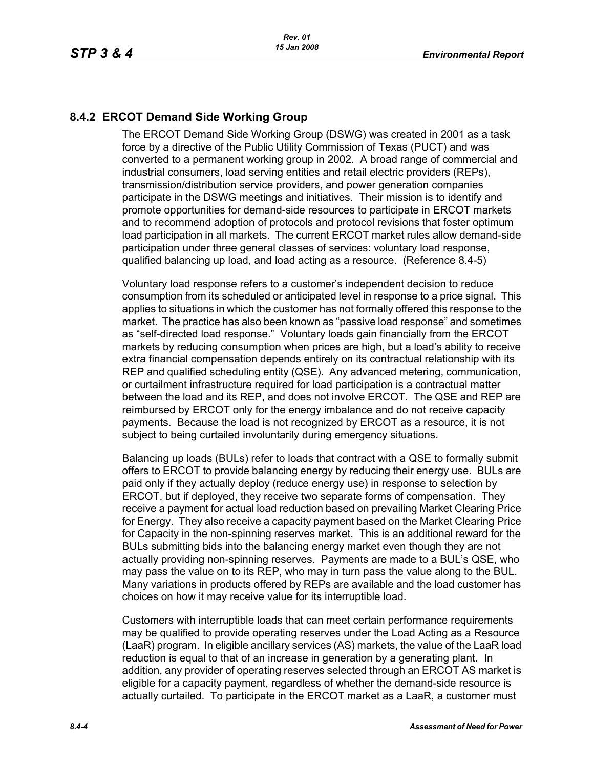# **8.4.2 ERCOT Demand Side Working Group**

The ERCOT Demand Side Working Group (DSWG) was created in 2001 as a task force by a directive of the Public Utility Commission of Texas (PUCT) and was converted to a permanent working group in 2002. A broad range of commercial and industrial consumers, load serving entities and retail electric providers (REPs), transmission/distribution service providers, and power generation companies participate in the DSWG meetings and initiatives. Their mission is to identify and promote opportunities for demand-side resources to participate in ERCOT markets and to recommend adoption of protocols and protocol revisions that foster optimum load participation in all markets. The current ERCOT market rules allow demand-side participation under three general classes of services: voluntary load response, qualified balancing up load, and load acting as a resource. (Reference 8.4-5)

Voluntary load response refers to a customer's independent decision to reduce consumption from its scheduled or anticipated level in response to a price signal. This applies to situations in which the customer has not formally offered this response to the market. The practice has also been known as "passive load response" and sometimes as "self-directed load response." Voluntary loads gain financially from the ERCOT markets by reducing consumption when prices are high, but a load's ability to receive extra financial compensation depends entirely on its contractual relationship with its REP and qualified scheduling entity (QSE). Any advanced metering, communication, or curtailment infrastructure required for load participation is a contractual matter between the load and its REP, and does not involve ERCOT. The QSE and REP are reimbursed by ERCOT only for the energy imbalance and do not receive capacity payments. Because the load is not recognized by ERCOT as a resource, it is not subject to being curtailed involuntarily during emergency situations.

Balancing up loads (BULs) refer to loads that contract with a QSE to formally submit offers to ERCOT to provide balancing energy by reducing their energy use. BULs are paid only if they actually deploy (reduce energy use) in response to selection by ERCOT, but if deployed, they receive two separate forms of compensation. They receive a payment for actual load reduction based on prevailing Market Clearing Price for Energy. They also receive a capacity payment based on the Market Clearing Price for Capacity in the non-spinning reserves market. This is an additional reward for the BULs submitting bids into the balancing energy market even though they are not actually providing non-spinning reserves. Payments are made to a BUL's QSE, who may pass the value on to its REP, who may in turn pass the value along to the BUL. Many variations in products offered by REPs are available and the load customer has choices on how it may receive value for its interruptible load.

[Customers with interruptible loads that can meet certain performance requirements](http://www.ercot.com/services/rq/re/index.html)  may be qualified to provide operating reserves under the Load Acting as a Resource [\(LaaR\) program. In eligible ancillary services \(AS\) markets, the value of the LaaR load](http://www.ercot.com/services/rq/re/index.html)  reduction is equal to that of an increase in generation by a generating plant. In addition, any provider of operating reserves selected through an ERCOT AS market is eligible for a capacity payment, regardless of whether the demand-side resource is [actually curtailed. To participate in the ERCOT market as a LaaR, a customer must](http://www.ercot.com/services/rq/re/index.html)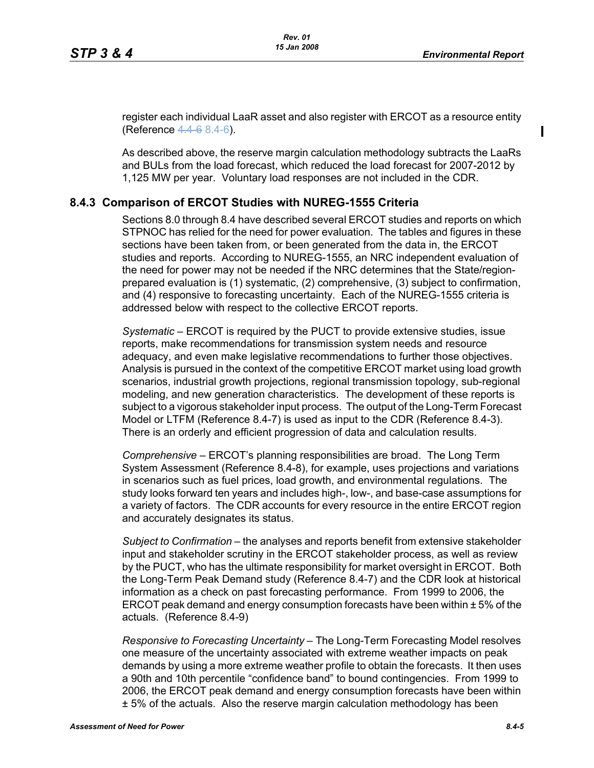Ι

[register each individual LaaR asset and also register with ERCOT as a resource entity](http://www.ercot.com/services/rq/re/index.html)  [\(Reference](http://www.ercot.com/services/rq/re/index.html) 4.4-6 8.4-6).

As described above, the reserve margin calculation methodology subtracts the LaaRs and BULs from the load forecast, which reduced the load forecast for 2007-2012 by 1,125 MW per year. Voluntary load responses are not included in the CDR.

## **8.4.3 Comparison of ERCOT Studies with NUREG-1555 Criteria**

Sections 8.0 through 8.4 have described several ERCOT studies and reports on which STPNOC has relied for the need for power evaluation. The tables and figures in these sections have been taken from, or been generated from the data in, the ERCOT studies and reports. According to NUREG-1555, an NRC independent evaluation of the need for power may not be needed if the NRC determines that the State/regionprepared evaluation is (1) systematic, (2) comprehensive, (3) subject to confirmation, and (4) responsive to forecasting uncertainty. Each of the NUREG-1555 criteria is addressed below with respect to the collective ERCOT reports.

*Systematic* – ERCOT is required by the PUCT to provide extensive studies, issue reports, make recommendations for transmission system needs and resource adequacy, and even make legislative recommendations to further those objectives. Analysis is pursued in the context of the competitive ERCOT market using load growth scenarios, industrial growth projections, regional transmission topology, sub-regional modeling, and new generation characteristics. The development of these reports is subject to a vigorous stakeholder input process. The output of the Long-Term Forecast Model or LTFM (Reference 8.4-7) is used as input to the CDR (Reference 8.4-3). There is an orderly and efficient progression of data and calculation results.

*Comprehensive* – ERCOT's planning responsibilities are broad. The Long Term System Assessment (Reference 8.4-8), for example, uses projections and variations in scenarios such as fuel prices, load growth, and environmental regulations. The study looks forward ten years and includes high-, low-, and base-case assumptions for a variety of factors. The CDR accounts for every resource in the entire ERCOT region and accurately designates its status.

*Subject to Confirmation* – the analyses and reports benefit from extensive stakeholder input and stakeholder scrutiny in the ERCOT stakeholder process, as well as review by the PUCT, who has the ultimate responsibility for market oversight in ERCOT. Both the Long-Term Peak Demand study (Reference 8.4-7) and the CDR look at historical information as a check on past forecasting performance. From 1999 to 2006, the ERCOT peak demand and energy consumption forecasts have been within ± 5% of the actuals. (Reference 8.4-9)

*Responsive to Forecasting Uncertainty* – The Long-Term Forecasting Model resolves one measure of the uncertainty associated with extreme weather impacts on peak demands by using a more extreme weather profile to obtain the forecasts. It then uses a 90th and 10th percentile "confidence band" to bound contingencies. From 1999 to 2006, the ERCOT peak demand and energy consumption forecasts have been within ± 5% of the actuals. Also the reserve margin calculation methodology has been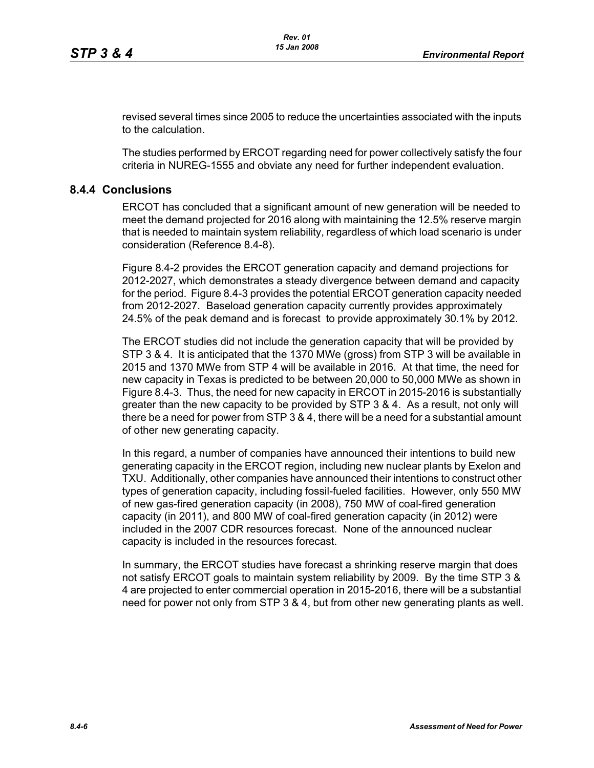revised several times since 2005 to reduce the uncertainties associated with the inputs to the calculation.

The studies performed by ERCOT regarding need for power collectively satisfy the four criteria in NUREG-1555 and obviate any need for further independent evaluation.

### **8.4.4 Conclusions**

ERCOT has concluded that a significant amount of new generation will be needed to meet the demand projected for 2016 along with maintaining the 12.5% reserve margin that is needed to maintain system reliability, regardless of which load scenario is under consideration (Reference 8.4-8).

Figure 8.4-2 provides the ERCOT generation capacity and demand projections for 2012-2027, which demonstrates a steady divergence between demand and capacity for the period. Figure 8.4-3 provides the potential ERCOT generation capacity needed from 2012-2027. Baseload generation capacity currently provides approximately 24.5% of the peak demand and is forecast to provide approximately 30.1% by 2012.

The ERCOT studies did not include the generation capacity that will be provided by STP 3 & 4. It is anticipated that the 1370 MWe (gross) from STP 3 will be available in 2015 and 1370 MWe from STP 4 will be available in 2016. At that time, the need for new capacity in Texas is predicted to be between 20,000 to 50,000 MWe as shown in Figure 8.4-3. Thus, the need for new capacity in ERCOT in 2015-2016 is substantially greater than the new capacity to be provided by STP 3 & 4. As a result, not only will there be a need for power from STP 3 & 4, there will be a need for a substantial amount of other new generating capacity.

In this regard, a number of companies have announced their intentions to build new generating capacity in the ERCOT region, including new nuclear plants by Exelon and TXU. Additionally, other companies have announced their intentions to construct other types of generation capacity, including fossil-fueled facilities. However, only 550 MW of new gas-fired generation capacity (in 2008), 750 MW of coal-fired generation capacity (in 2011), and 800 MW of coal-fired generation capacity (in 2012) were included in the 2007 CDR resources forecast. None of the announced nuclear capacity is included in the resources forecast.

In summary, the ERCOT studies have forecast a shrinking reserve margin that does not satisfy ERCOT goals to maintain system reliability by 2009. By the time STP 3 & 4 are projected to enter commercial operation in 2015-2016, there will be a substantial need for power not only from STP 3 & 4, but from other new generating plants as well.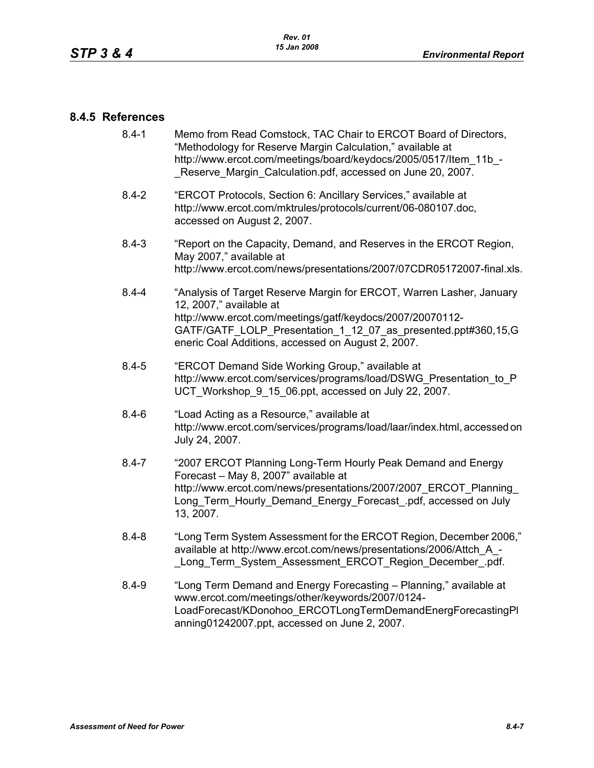### **8.4.5 References**

- [8.4-1 Memo from Read Comstock, TAC Chair to ERCOT Board of Directors,](http://www.ercot.com/meetings/board/keydocs/2005/0517/Item_11b_-_Reserve_Margin_Calculation.pdf)  "Methodology for Reserve Margin Calculation," available at http://www.ercot.com/meetings/board/keydocs/2005/0517/Item\_11b\_-Reserve Margin Calculation.pdf, accessed on June 20, 2007.
- [8.4-2 "ERCOT Protocols, Section 6: Ancillary Services," available at](http://www.ercot.com/mktrules/protocols/current/06-080107.doc)  http://www.ercot.com/mktrules/protocols/current/06-080107.doc, accessed on August 2, 2007.
- 8.4-3 "Report on the Capacity, Demand, and Reserves in the ERCOT Region, May 2007," available at http://www.ercot.com/news/presentations/2007/07CDR05172007-final.xls.
- 8.4-4 "Analysis of Target Reserve Margin for ERCOT, Warren Lasher, January 12, 2007," available at http://www.ercot.com/meetings/gatf/keydocs/2007/20070112- GATF/GATF\_LOLP\_Presentation\_1\_12\_07\_as\_presented.ppt#360,15,G eneric Coal Additions, accessed on August 2, 2007.
- 8.4-5 "ERCOT Demand Side Working Group," available at [http://www.ercot.com/services/programs/load/DSWG\\_Presentation\\_to\\_P](http://www.ercot.com/services/programs/load/DSWG_Presentation_to_PUCT_Workshop_9_15_06.ppt) UCT\_Workshop\_9\_15\_06.ppt, accessed on July 22, 2007.
- 8.4-6 "Load Acting as a Resource," available at [http://www.ercot.com/services/programs/load/laar/index.html, accessed on](http://www.ercot.com/services/programs/load/laar/index.html)  July 24, 2007.
- [8.4-7 "2007 ERCOT Planning Long-Term Hourly Peak Demand and Energy](http://www.ercot.com/news/presentations/2007/2007_ERCOT_Planning_Long_Term_Hourly_Demand_Energy_Forecast_.pdf)  Forecast – May 8, 2007" available at http://www.ercot.com/news/presentations/2007/2007\_ERCOT\_Planning\_ Long Term Hourly Demand Energy Forecast .pdf, accessed on July 13, 2007.
- 8.4-8 "Long Term System Assessment for the ERCOT Region, December 2006," available at http://www.ercot.com/news/presentations/2006/Attch\_A\_- Long Term System Assessment ERCOT Region December .pdf.
- 8.4-9 ["Long Term Demand and Energy Forecasting Planning," available at](http://www.ercot.com/meetings/other/keywords/2007/0124-LoadForecast/KDonohoo_ERCOTLongTermDemandEnergForecastingPlanning01242007.ppt)  www.ercot.com/meetings/other/keywords/2007/0124- [LoadForecast/KDonohoo\\_ERCOTLongTermDemandEnergForecastingPl](http://www.ercot.com/meetings/other/keywords/2007/0124-LoadForecast/KDonohoo_ERCOTLongTermDemandEnergForecastingPlanning01242007.ppt) [anning01242007.ppt, accessed on June 2, 2007.](http://www.ercot.com/meetings/other/keywords/2007/0124-LoadForecast/KDonohoo_ERCOTLongTermDemandEnergForecastingPlanning01242007.ppt)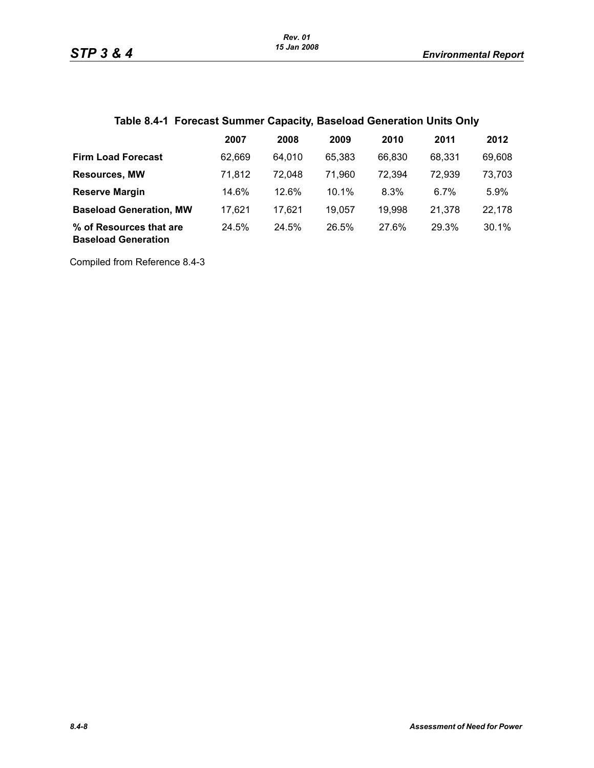|  | <b>Table 8.4-1 Forecast Summer Capacity, Baseload Generation Units Only</b> |  |  |
|--|-----------------------------------------------------------------------------|--|--|
|--|-----------------------------------------------------------------------------|--|--|

|                                                       | 2007   | 2008   | 2009     | 2010   | 2011    | 2012   |
|-------------------------------------------------------|--------|--------|----------|--------|---------|--------|
| <b>Firm Load Forecast</b>                             | 62.669 | 64.010 | 65.383   | 66,830 | 68.331  | 69,608 |
| <b>Resources, MW</b>                                  | 71,812 | 72.048 | 71.960   | 72,394 | 72,939  | 73,703 |
| <b>Reserve Margin</b>                                 | 14.6%  | 12.6%  | $10.1\%$ | 8.3%   | $6.7\%$ | 5.9%   |
| <b>Baseload Generation, MW</b>                        | 17.621 | 17.621 | 19,057   | 19,998 | 21,378  | 22,178 |
| % of Resources that are<br><b>Baseload Generation</b> | 24.5%  | 24.5%  | 26.5%    | 27.6%  | 29.3%   | 30.1%  |

Compiled from Reference 8.4-3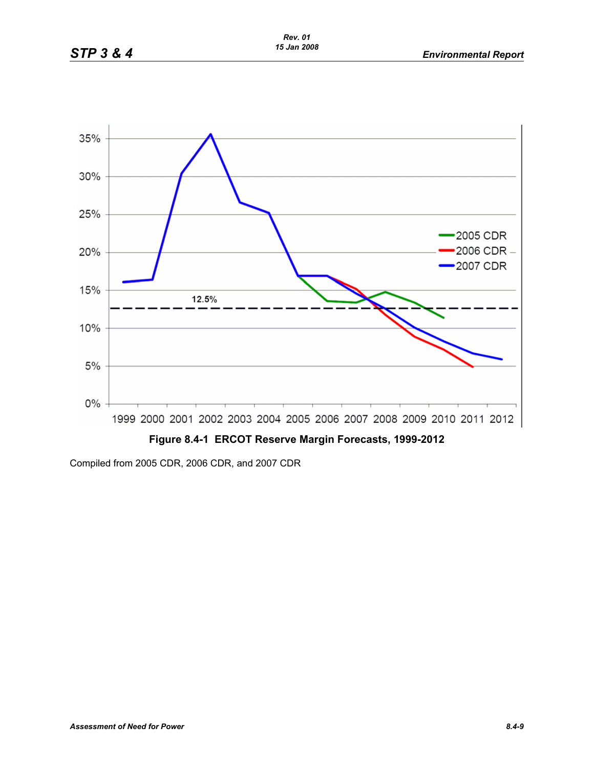

Compiled from 2005 CDR, 2006 CDR, and 2007 CDR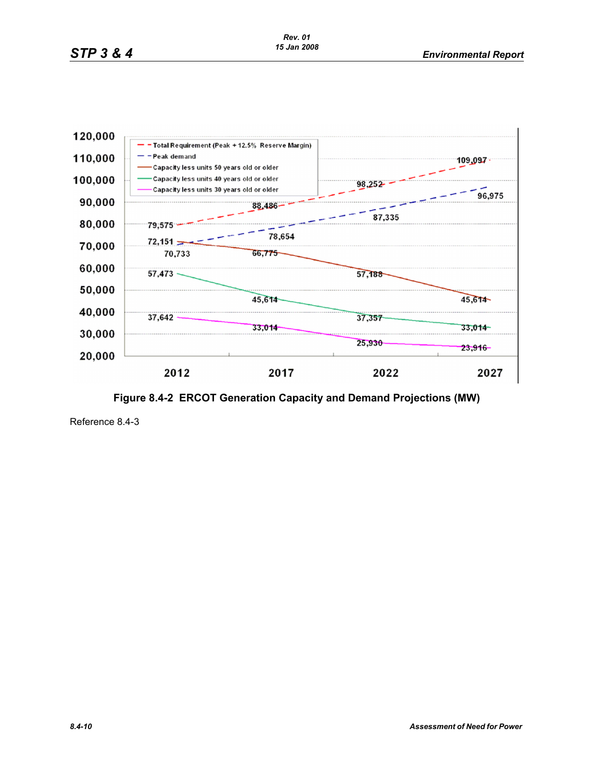

**Figure 8.4-2 ERCOT Generation Capacity and Demand Projections (MW)**

Reference 8.4-3